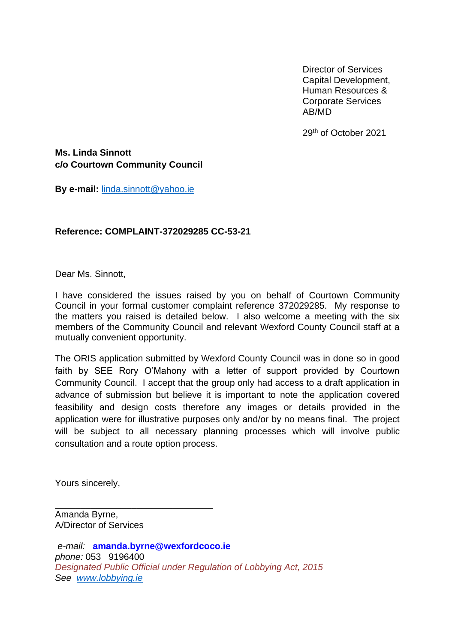Director of Services Capital Development, Human Resources & Corporate Services AB/MD

29th of October 2021

**Ms. Linda Sinnott c/o Courtown Community Council**

**By e-mail:** [linda.sinnott@yahoo.ie](mailto:linda.sinnott@yahoo.ie)

## **Reference: COMPLAINT-372029285 CC-53-21**

Dear Ms. Sinnott,

I have considered the issues raised by you on behalf of Courtown Community Council in your formal customer complaint reference 372029285. My response to the matters you raised is detailed below. I also welcome a meeting with the six members of the Community Council and relevant Wexford County Council staff at a mutually convenient opportunity.

The ORIS application submitted by Wexford County Council was in done so in good faith by SEE Rory O'Mahony with a letter of support provided by Courtown Community Council. I accept that the group only had access to a draft application in advance of submission but believe it is important to note the application covered feasibility and design costs therefore any images or details provided in the application were for illustrative purposes only and/or by no means final. The project will be subject to all necessary planning processes which will involve public consultation and a route option process.

Yours sincerely,

\_\_\_\_\_\_\_\_\_\_\_\_\_\_\_\_\_\_\_\_\_\_\_\_\_\_\_\_\_\_\_ Amanda Byrne, A/Director of Services

*e-mail:* **amanda.byrne@wexfordcoco.ie** *phone:* 053 9196400 *Designated Public Official under Regulation of Lobbying Act, 2015 See [www.lobbying.ie](http://www.lobbying.ie/)*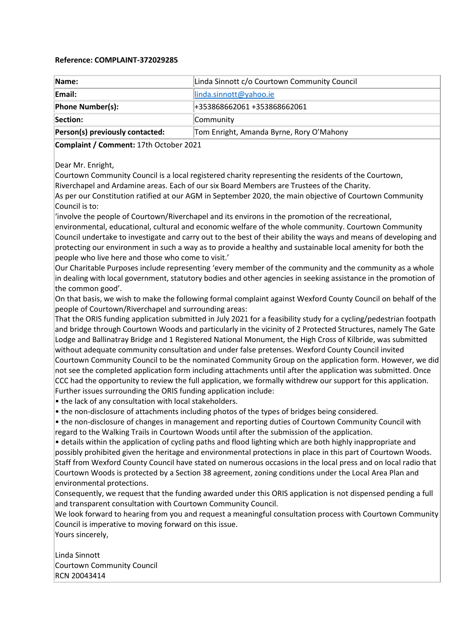## **Reference: COMPLAINT-372029285**

| Name:                           | Linda Sinnott c/o Courtown Community Council |
|---------------------------------|----------------------------------------------|
| Email:                          | linda.sinnott@yahoo.ie                       |
| Phone Number(s):                | +353868662061 +353868662061                  |
| Section:                        | Community                                    |
| Person(s) previously contacted: | Tom Enright, Amanda Byrne, Rory O'Mahony     |

**Complaint / Comment:** 17th October 2021

Dear Mr. Enright,

Courtown Community Council is a local registered charity representing the residents of the Courtown, Riverchapel and Ardamine areas. Each of our six Board Members are Trustees of the Charity. As per our Constitution ratified at our AGM in September 2020, the main objective of Courtown Community

Council is to:

'involve the people of Courtown/Riverchapel and its environs in the promotion of the recreational, environmental, educational, cultural and economic welfare of the whole community. Courtown Community Council undertake to investigate and carry out to the best of their ability the ways and means of developing and protecting our environment in such a way as to provide a healthy and sustainable local amenity for both the people who live here and those who come to visit.'

Our Charitable Purposes include representing 'every member of the community and the community as a whole in dealing with local government, statutory bodies and other agencies in seeking assistance in the promotion of the common good'.

On that basis, we wish to make the following formal complaint against Wexford County Council on behalf of the people of Courtown/Riverchapel and surrounding areas:

That the ORIS funding application submitted in July 2021 for a feasibility study for a cycling/pedestrian footpath and bridge through Courtown Woods and particularly in the vicinity of 2 Protected Structures, namely The Gate Lodge and Ballinatray Bridge and 1 Registered National Monument, the High Cross of Kilbride, was submitted without adequate community consultation and under false pretenses. Wexford County Council invited Courtown Community Council to be the nominated Community Group on the application form. However, we did not see the completed application form including attachments until after the application was submitted. Once CCC had the opportunity to review the full application, we formally withdrew our support for this application. Further issues surrounding the ORIS funding application include:

• the lack of any consultation with local stakeholders.

• the non-disclosure of attachments including photos of the types of bridges being considered.

• the non-disclosure of changes in management and reporting duties of Courtown Community Council with regard to the Walking Trails in Courtown Woods until after the submission of the application.

• details within the application of cycling paths and flood lighting which are both highly inappropriate and possibly prohibited given the heritage and environmental protections in place in this part of Courtown Woods. Staff from Wexford County Council have stated on numerous occasions in the local press and on local radio that Courtown Woods is protected by a Section 38 agreement, zoning conditions under the Local Area Plan and environmental protections.

Consequently, we request that the funding awarded under this ORIS application is not dispensed pending a full and transparent consultation with Courtown Community Council.

We look forward to hearing from you and request a meaningful consultation process with Courtown Community Council is imperative to moving forward on this issue.

Yours sincerely,

Linda Sinnott Courtown Community Council RCN 20043414